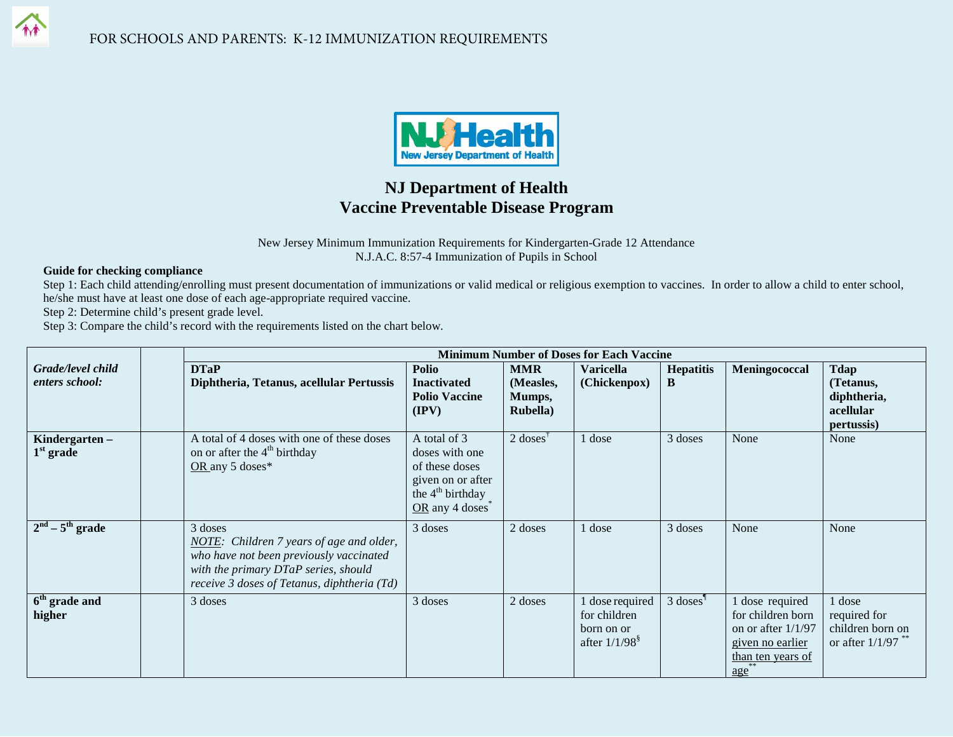

## **NJ Department of Health Vaccine Preventable Disease Program**

New Jersey Minimum Immunization Requirements for Kindergarten-Grade 12 Attendance N.J.A.C. 8:57-4 Immunization of Pupils in School

## **Guide for checking compliance**

Step 1: Each child attending/enrolling must present documentation of immunizations or valid medical or religious exemption to vaccines. In order to allow a child to enter school, he/she must have at least one dose of each age-appropriate required vaccine.

Step 2: Determine child's present grade level.

Step 3: Compare the child's record with the requirements listed on the chart below.

|                                     | <b>Minimum Number of Doses for Each Vaccine</b>                                                                                                                                       |                                                                                                                                                                 |                                                       |                                                                 |                        |                                                                                                            |                                                                    |
|-------------------------------------|---------------------------------------------------------------------------------------------------------------------------------------------------------------------------------------|-----------------------------------------------------------------------------------------------------------------------------------------------------------------|-------------------------------------------------------|-----------------------------------------------------------------|------------------------|------------------------------------------------------------------------------------------------------------|--------------------------------------------------------------------|
| Grade/level child<br>enters school: | <b>DTaP</b><br>Diphtheria, Tetanus, acellular Pertussis                                                                                                                               | Polio<br><b>Inactivated</b><br><b>Polio Vaccine</b><br>$(\mathbf{IPV})$                                                                                         | <b>MMR</b><br>(Measles,<br>Mumps,<br><b>Rubella</b> ) | <b>Varicella</b><br>(Chickenpox)                                | <b>Hepatitis</b><br>B  | Meningococcal                                                                                              | <b>Tdap</b><br>(Tetanus,<br>diphtheria,<br>acellular<br>pertussis) |
| Kindergarten-<br>$1st$ grade        | A total of 4 doses with one of these doses<br>on or after the 4 <sup>th</sup> birthday<br>OR any 5 doses $*$                                                                          | A total of 3<br>doses with one<br>of these doses<br>given on or after<br>the 4 <sup>th</sup> birthday<br>$OR$ any 4 doses <sup><math>\overline{\ }</math></sup> | $2$ doses <sup><math>\dagger</math></sup>             | 1 dose                                                          | 3 doses                | None                                                                                                       | None                                                               |
| $2nd - 5th$ grade                   | 3 doses<br>NOTE: Children 7 years of age and older,<br>who have not been previously vaccinated<br>with the primary DTaP series, should<br>receive 3 doses of Tetanus, diphtheria (Td) | 3 doses                                                                                                                                                         | 2 doses                                               | 1 dose                                                          | 3 doses                | None                                                                                                       | None                                                               |
| 6 <sup>th</sup> grade and<br>higher | 3 doses                                                                                                                                                                               | 3 doses                                                                                                                                                         | 2 doses                                               | dose required<br>for children<br>born on or<br>after $1/1/98^8$ | $3$ doses <sup>1</sup> | dose required<br>for children born<br>on or after $1/1/97$<br>given no earlier<br>than ten years of<br>age | 1 dose<br>required for<br>children born on<br>or after $1/1/97$    |